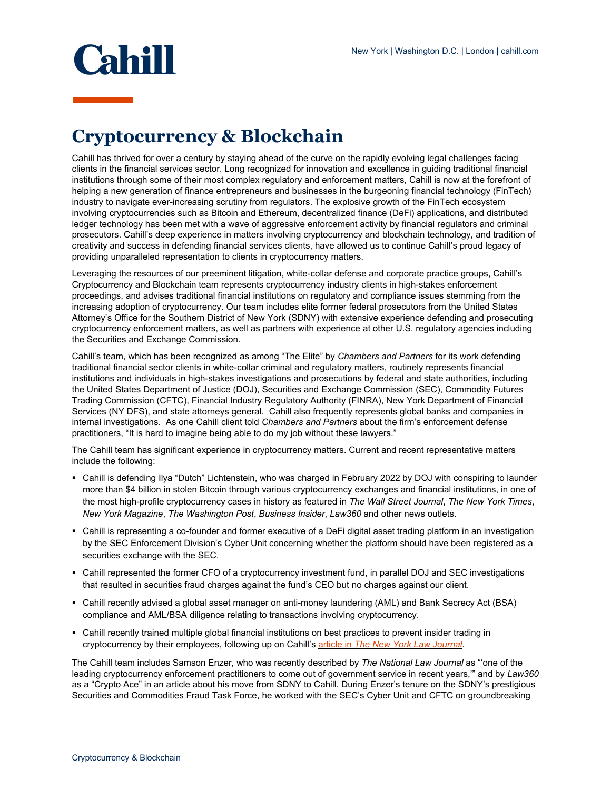

## **Cryptocurrency & Blockchain**

Cahill has thrived for over a century by staying ahead of the curve on the rapidly evolving legal challenges facing clients in the financial services sector. Long recognized for innovation and excellence in guiding traditional financial institutions through some of their most complex regulatory and enforcement matters, Cahill is now at the forefront of helping a new generation of finance entrepreneurs and businesses in the burgeoning financial technology (FinTech) industry to navigate ever-increasing scrutiny from regulators. The explosive growth of the FinTech ecosystem involving cryptocurrencies such as Bitcoin and Ethereum, decentralized finance (DeFi) applications, and distributed ledger technology has been met with a wave of aggressive enforcement activity by financial regulators and criminal prosecutors. Cahill's deep experience in matters involving cryptocurrency and blockchain technology, and tradition of creativity and success in defending financial services clients, have allowed us to continue Cahill's proud legacy of providing unparalleled representation to clients in cryptocurrency matters.

Leveraging the resources of our preeminent litigation, white-collar defense and corporate practice groups, Cahill's Cryptocurrency and Blockchain team represents cryptocurrency industry clients in high-stakes enforcement proceedings, and advises traditional financial institutions on regulatory and compliance issues stemming from the increasing adoption of cryptocurrency. Our team includes elite former federal prosecutors from the United States Attorney's Office for the Southern District of New York (SDNY) with extensive experience defending and prosecuting cryptocurrency enforcement matters, as well as partners with experience at other U.S. regulatory agencies including the Securities and Exchange Commission.

Cahill's team, which has been recognized as among "The Elite" by *Chambers and Partners* for its work defending traditional financial sector clients in white-collar criminal and regulatory matters, routinely represents financial institutions and individuals in high-stakes investigations and prosecutions by federal and state authorities, including the United States Department of Justice (DOJ), Securities and Exchange Commission (SEC), Commodity Futures Trading Commission (CFTC), Financial Industry Regulatory Authority (FINRA), New York Department of Financial Services (NY DFS), and state attorneys general. Cahill also frequently represents global banks and companies in internal investigations. As one Cahill client told *Chambers and Partners* about the firm's enforcement defense practitioners, "It is hard to imagine being able to do my job without these lawyers."

The Cahill team has significant experience in cryptocurrency matters. Current and recent representative matters include the following:

- Cahill is defending Ilya "Dutch" Lichtenstein, who was charged in February 2022 by DOJ with conspiring to launder more than \$4 billion in stolen Bitcoin through various cryptocurrency exchanges and financial institutions, in one of the most high-profile cryptocurrency cases in history as featured in *The Wall Street Journal*, *The New York Times*, *New York Magazine*, *The Washington Post*, *Business Insider*, *Law360* and other news outlets.
- Cahill is representing a co-founder and former executive of a DeFi digital asset trading platform in an investigation by the SEC Enforcement Division's Cyber Unit concerning whether the platform should have been registered as a securities exchange with the SEC.
- Cahill represented the former CFO of a cryptocurrency investment fund, in parallel DOJ and SEC investigations that resulted in securities fraud charges against the fund's CEO but no charges against our client.
- Cahill recently advised a global asset manager on anti-money laundering (AML) and Bank Secrecy Act (BSA) compliance and AML/BSA diligence relating to transactions involving cryptocurrency.
- Cahill recently trained multiple global financial institutions on best practices to prevent insider trading in cryptocurrency by their employees, following up on Cahill's article in *[The New York Law](https://www.cahill.com/publications/published-articles/2021-12-06-nola-heller-and-samson-enzer-publish-crypto-insider-trading-what-exchanges-should-know-in-the-new-york-law-journal/_res/id=Attachments/index=0/Crypto%20Insider%20Trading%20What%20Exchanges%20Should%20Know.pdf) Journal*.

The Cahill team includes Samson Enzer, who was recently described by *The National Law Journal* as "'one of the leading cryptocurrency enforcement practitioners to come out of government service in recent years,'" and by *Law360* as a "Crypto Ace" in an article about his move from SDNY to Cahill. During Enzer's tenure on the SDNY's prestigious Securities and Commodities Fraud Task Force, he worked with the SEC's Cyber Unit and CFTC on groundbreaking